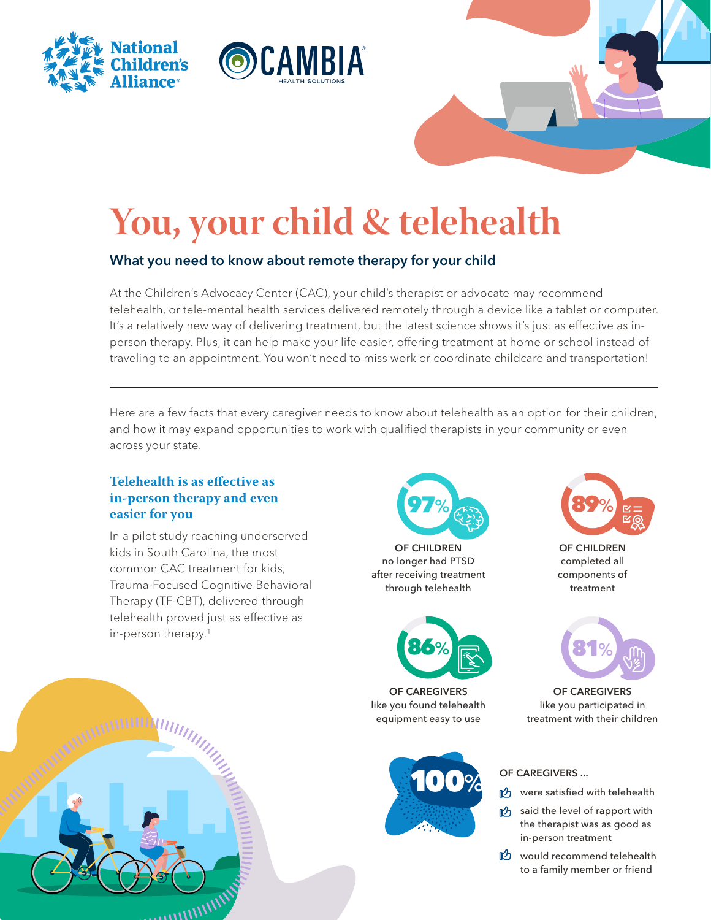



# **You, your child & telehealth**

# What you need to know about remote therapy for your child

At the Children's Advocacy Center (CAC), your child's therapist or advocate may recommend telehealth, or tele-mental health services delivered remotely through a device like a tablet or computer. It's a relatively new way of delivering treatment, but the latest science shows it's just as effective as inperson therapy. Plus, it can help make your life easier, offering treatment at home or school instead of traveling to an appointment. You won't need to miss work or coordinate childcare and transportation!

Here are a few facts that every caregiver needs to know about telehealth as an option for their children, and how it may expand opportunities to work with qualified therapists in your community or even across your state.

## **Telehealth is as effective as in-person therapy and even easier for you**

In a pilot study reaching underserved kids in South Carolina, the most common CAC treatment for kids, Trauma-Focused Cognitive Behavioral Therapy (TF-CBT), delivered through telehealth proved just as effective as in-person therapy.1



OF CHILDREN no longer had PTSD after receiving treatment through telehealth



OF CAREGIVERS like you found telehealth equipment easy to use





OF CHILDREN completed all components of treatment



OF CAREGIVERS like you participated in treatment with their children

#### OF CAREGIVERS ...

- were satisfied with telehealth
- the level of rapport with the therapist was as good as in-person treatment
- would recommend telehealth to a family member or friend